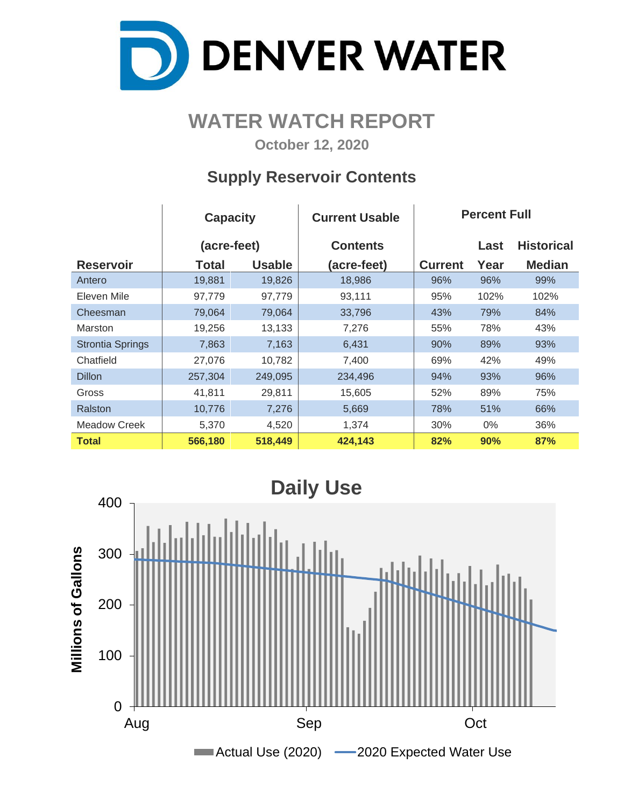

## **WATER WATCH REPORT**

**October 12, 2020**

### **Supply Reservoir Contents**

|                         | <b>Capacity</b> |               | <b>Current Usable</b> | <b>Percent Full</b> |      |                   |  |  |  |
|-------------------------|-----------------|---------------|-----------------------|---------------------|------|-------------------|--|--|--|
|                         | (acre-feet)     |               | <b>Contents</b>       |                     | Last | <b>Historical</b> |  |  |  |
| <b>Reservoir</b>        | Total           | <b>Usable</b> | (acre-feet)           | <b>Current</b>      | Year | <b>Median</b>     |  |  |  |
| Antero                  | 19,881          | 19,826        | 18,986                | 96%                 | 96%  | 99%               |  |  |  |
| Eleven Mile             | 97,779          | 97,779        | 93,111                | 95%                 | 102% | 102%              |  |  |  |
| Cheesman                | 79,064          | 79,064        | 33,796                | 43%                 | 79%  | 84%               |  |  |  |
| <b>Marston</b>          | 19,256          | 13,133        | 7,276                 | 55%                 | 78%  | 43%               |  |  |  |
| <b>Strontia Springs</b> | 7,863           | 7,163         | 6,431                 | 90%                 | 89%  | 93%               |  |  |  |
| Chatfield               | 27,076          | 10,782        | 7,400                 | 69%                 | 42%  | 49%               |  |  |  |
| <b>Dillon</b>           | 257,304         | 249,095       | 234,496               | 94%                 | 93%  | 96%               |  |  |  |
| Gross                   | 41,811          | 29,811        | 15,605                | 52%                 | 89%  | 75%               |  |  |  |
| Ralston                 | 10,776          | 7,276         | 5,669                 | 78%                 | 51%  | 66%               |  |  |  |
| Meadow Creek            | 5,370           | 4,520         | 1,374                 | 30%                 | 0%   | 36%               |  |  |  |
| <b>Total</b>            | 566,180         | 518,449       | 424,143               | 82%                 | 90%  | 87%               |  |  |  |

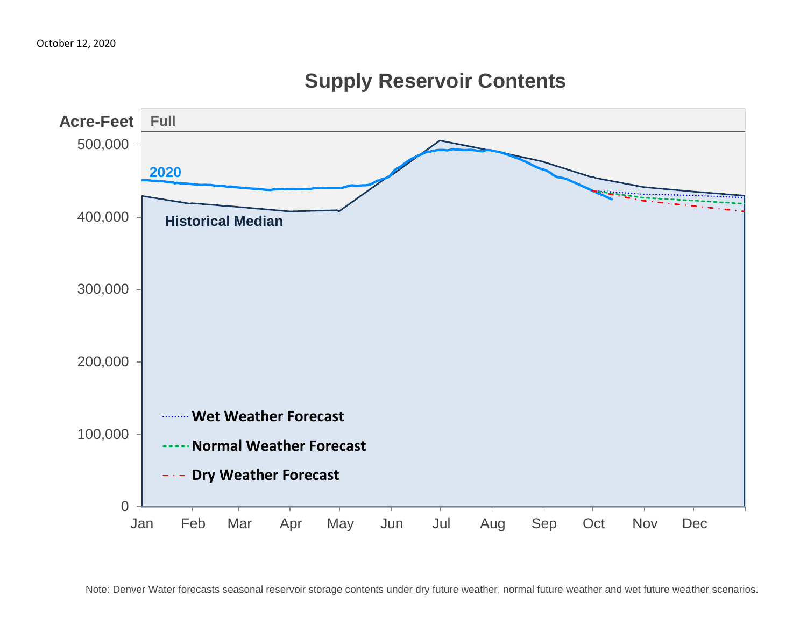

**Supply Reservoir Contents**

Note: Denver Water forecasts seasonal reservoir storage contents under dry future weather, normal future weather and wet future weather scenarios.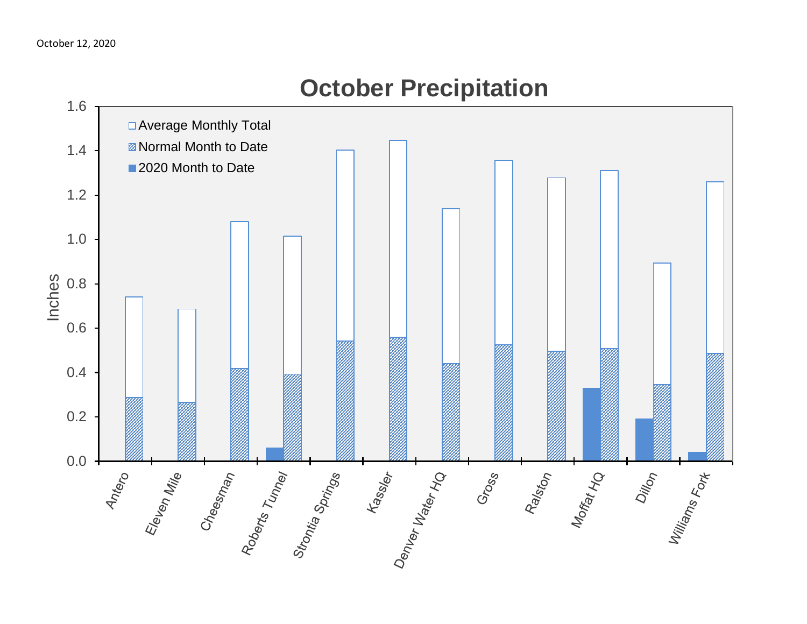

# **October Precipitation**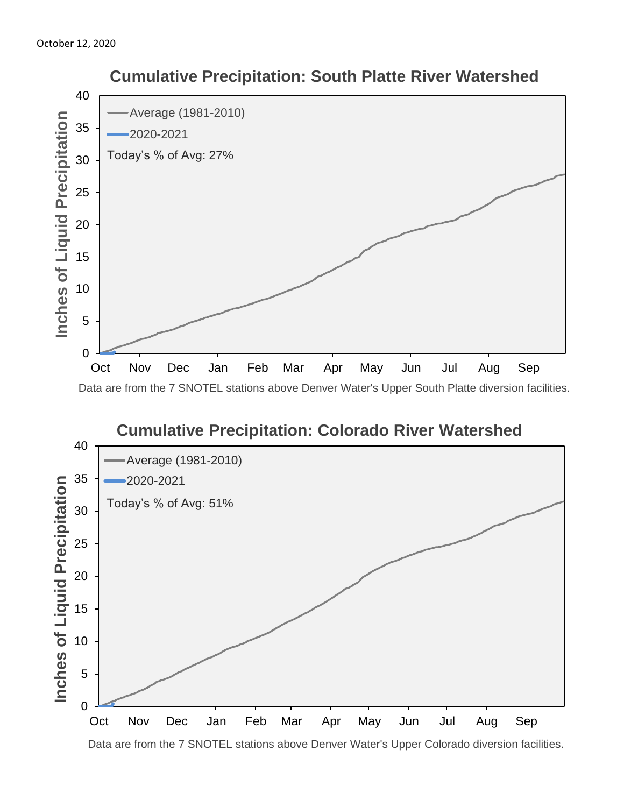

#### **Cumulative Precipitation: Colorado River Watershed** 40 Average (1981-2010) 35 2020-2021 Inches of Liquid Precipitation **Inches of Liquid Precipitation** Today's % of Avg: 51% 30 25 20 15 10 5 0 Oct Nov Dec Jan Feb Mar Apr May Jun Jul Aug Sep

Data are from the 7 SNOTEL stations above Denver Water's Upper Colorado diversion facilities.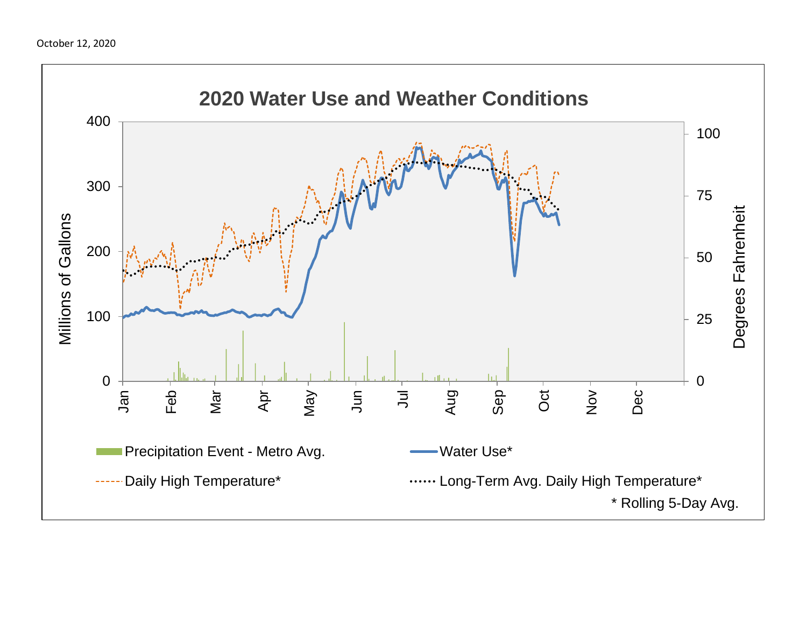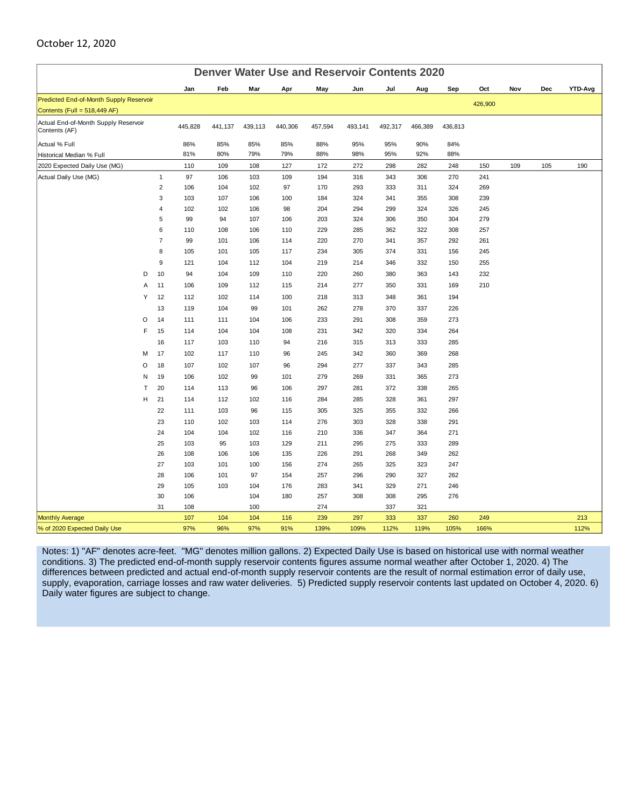#### October 12, 2020

| <b>Denver Water Use and Reservoir Contents 2020</b>   |   |                         |         |         |         |         |         |         |         |         |      |         |     |     |                |
|-------------------------------------------------------|---|-------------------------|---------|---------|---------|---------|---------|---------|---------|---------|------|---------|-----|-----|----------------|
|                                                       |   |                         | Jan     | Feb     | Mar     | Apr     | May     | Jun     | Jul     | Aug     | Sep  | Oct     | Nov | Dec | <b>YTD-Avg</b> |
| Predicted End-of-Month Supply Reservoir               |   |                         |         |         |         |         |         |         |         |         |      | 426,900 |     |     |                |
| Contents (Full = 518,449 AF)                          |   |                         |         |         |         |         |         |         |         |         |      |         |     |     |                |
| Actual End-of-Month Supply Reservoir<br>Contents (AF) |   | 445,828                 | 441,137 | 439,113 | 440,306 | 457,594 | 493,141 | 492,317 | 466,389 | 436,813 |      |         |     |     |                |
| Actual % Full                                         |   |                         | 86%     | 85%     | 85%     | 85%     | 88%     | 95%     | 95%     | 90%     | 84%  |         |     |     |                |
| Historical Median % Full                              |   |                         | 81%     | 80%     | 79%     | 79%     | 88%     | 98%     | 95%     | 92%     | 88%  |         |     |     |                |
| 2020 Expected Daily Use (MG)                          |   |                         | 110     | 109     | 108     | 127     | 172     | 272     | 298     | 282     | 248  | 150     | 109 | 105 | 190            |
| Actual Daily Use (MG)                                 |   | $\mathbf{1}$            | 97      | 106     | 103     | 109     | 194     | 316     | 343     | 306     | 270  | 241     |     |     |                |
|                                                       |   | $\overline{2}$          | 106     | 104     | 102     | 97      | 170     | 293     | 333     | 311     | 324  | 269     |     |     |                |
|                                                       |   | 3                       | 103     | 107     | 106     | 100     | 184     | 324     | 341     | 355     | 308  | 239     |     |     |                |
|                                                       |   | $\overline{\mathbf{4}}$ | 102     | 102     | 106     | 98      | 204     | 294     | 299     | 324     | 326  | 245     |     |     |                |
|                                                       |   | 5                       | 99      | 94      | 107     | 106     | 203     | 324     | 306     | 350     | 304  | 279     |     |     |                |
|                                                       |   | 6                       | 110     | 108     | 106     | 110     | 229     | 285     | 362     | 322     | 308  | 257     |     |     |                |
|                                                       |   | $\overline{7}$          | 99      | 101     | 106     | 114     | 220     | 270     | 341     | 357     | 292  | 261     |     |     |                |
|                                                       |   | 8                       | 105     | 101     | 105     | 117     | 234     | 305     | 374     | 331     | 156  | 245     |     |     |                |
|                                                       |   | 9                       | 121     | 104     | 112     | 104     | 219     | 214     | 346     | 332     | 150  | 255     |     |     |                |
|                                                       | D | 10                      | 94      | 104     | 109     | 110     | 220     | 260     | 380     | 363     | 143  | 232     |     |     |                |
|                                                       | A | 11                      | 106     | 109     | 112     | 115     | 214     | 277     | 350     | 331     | 169  | 210     |     |     |                |
|                                                       | Υ | 12                      | 112     | 102     | 114     | 100     | 218     | 313     | 348     | 361     | 194  |         |     |     |                |
|                                                       |   | 13                      | 119     | 104     | 99      | 101     | 262     | 278     | 370     | 337     | 226  |         |     |     |                |
|                                                       | O | 14                      | 111     | 111     | 104     | 106     | 233     | 291     | 308     | 359     | 273  |         |     |     |                |
|                                                       | F | 15                      | 114     | 104     | 104     | 108     | 231     | 342     | 320     | 334     | 264  |         |     |     |                |
|                                                       |   | 16                      | 117     | 103     | 110     | 94      | 216     | 315     | 313     | 333     | 285  |         |     |     |                |
|                                                       | M | 17                      | 102     | 117     | 110     | 96      | 245     | 342     | 360     | 369     | 268  |         |     |     |                |
|                                                       | O | 18                      | 107     | 102     | 107     | 96      | 294     | 277     | 337     | 343     | 285  |         |     |     |                |
|                                                       | N | 19                      | 106     | 102     | 99      | 101     | 279     | 269     | 331     | 365     | 273  |         |     |     |                |
|                                                       | T | 20                      | 114     | 113     | 96      | 106     | 297     | 281     | 372     | 338     | 265  |         |     |     |                |
|                                                       | H | 21                      | 114     | 112     | 102     | 116     | 284     | 285     | 328     | 361     | 297  |         |     |     |                |
|                                                       |   | 22                      | 111     | 103     | 96      | 115     | 305     | 325     | 355     | 332     | 266  |         |     |     |                |
|                                                       |   | 23                      | 110     | 102     | 103     | 114     | 276     | 303     | 328     | 338     | 291  |         |     |     |                |
|                                                       |   | 24                      | 104     | 104     | 102     | 116     | 210     | 336     | 347     | 364     | 271  |         |     |     |                |
|                                                       |   | 25                      | 103     | 95      | 103     | 129     | 211     | 295     | 275     | 333     | 289  |         |     |     |                |
|                                                       |   | 26                      | 108     | 106     | 106     | 135     | 226     | 291     | 268     | 349     | 262  |         |     |     |                |
|                                                       |   | 27                      | 103     | 101     | 100     | 156     | 274     | 265     | 325     | 323     | 247  |         |     |     |                |
|                                                       |   | 28                      | 106     | 101     | 97      | 154     | 257     | 296     | 290     | 327     | 262  |         |     |     |                |
|                                                       |   | 29                      | 105     | 103     | 104     | 176     | 283     | 341     | 329     | 271     | 246  |         |     |     |                |
|                                                       |   | 30                      | 106     |         | 104     | 180     | 257     | 308     | 308     | 295     | 276  |         |     |     |                |
|                                                       |   | 31                      | 108     |         | 100     |         | 274     |         | 337     | 321     |      |         |     |     |                |
| <b>Monthly Average</b>                                |   |                         | 107     | 104     | 104     | 116     | 239     | 297     | 333     | 337     | 260  | 249     |     |     | 213            |
| % of 2020 Expected Daily Use                          |   |                         | 97%     | 96%     | 97%     | 91%     | 139%    | 109%    | 112%    | 119%    | 105% | 166%    |     |     | 112%           |

Notes: 1) "AF" denotes acre-feet. "MG" denotes million gallons. 2) Expected Daily Use is based on historical use with normal weather conditions. 3) The predicted end-of-month supply reservoir contents figures assume normal weather after October 1, 2020. 4) The differences between predicted and actual end-of-month supply reservoir contents are the result of normal estimation error of daily use, supply, evaporation, carriage losses and raw water deliveries. 5) Predicted supply reservoir contents last updated on October 4, 2020. 6) Daily water figures are subject to change.